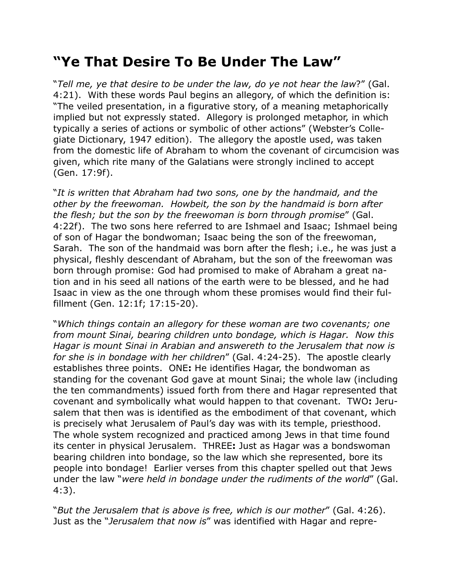## **"Ye That Desire To Be Under The Law"**

"*Tell me, ye that desire to be under the law, do ye not hear the law*?" (Gal. 4:21). With these words Paul begins an allegory, of which the definition is: "The veiled presentation, in a figurative story, of a meaning metaphorically implied but not expressly stated. Allegory is prolonged metaphor, in which typically a series of actions or symbolic of other actions" (Webster's Collegiate Dictionary, 1947 edition). The allegory the apostle used, was taken from the domestic life of Abraham to whom the covenant of circumcision was given, which rite many of the Galatians were strongly inclined to accept (Gen. 17:9f).

"*It is written that Abraham had two sons, one by the handmaid, and the other by the freewoman. Howbeit, the son by the handmaid is born after the flesh; but the son by the freewoman is born through promise*" (Gal. 4:22f). The two sons here referred to are Ishmael and Isaac; Ishmael being of son of Hagar the bondwoman; Isaac being the son of the freewoman, Sarah. The son of the handmaid was born after the flesh; i.e., he was just a physical, fleshly descendant of Abraham, but the son of the freewoman was born through promise: God had promised to make of Abraham a great nation and in his seed all nations of the earth were to be blessed, and he had Isaac in view as the one through whom these promises would find their fulfillment (Gen. 12:1f; 17:15-20).

"*Which things contain an allegory for these woman are two covenants; one from mount Sinai, bearing children unto bondage, which is Hagar. Now this Hagar is mount Sinai in Arabian and answereth to the Jerusalem that now is for she is in bondage with her children*" (Gal. 4:24-25). The apostle clearly establishes three points. ONE**:** He identifies Hagar, the bondwoman as standing for the covenant God gave at mount Sinai; the whole law (including the ten commandments) issued forth from there and Hagar represented that covenant and symbolically what would happen to that covenant. TWO**:** Jerusalem that then was is identified as the embodiment of that covenant, which is precisely what Jerusalem of Paul's day was with its temple, priesthood. The whole system recognized and practiced among Jews in that time found its center in physical Jerusalem. THREE**:** Just as Hagar was a bondswoman bearing children into bondage, so the law which she represented, bore its people into bondage! Earlier verses from this chapter spelled out that Jews under the law "*were held in bondage under the rudiments of the world*" (Gal. 4:3).

"*But the Jerusalem that is above is free, which is our mother*" (Gal. 4:26). Just as the "*Jerusalem that now is*" was identified with Hagar and repre